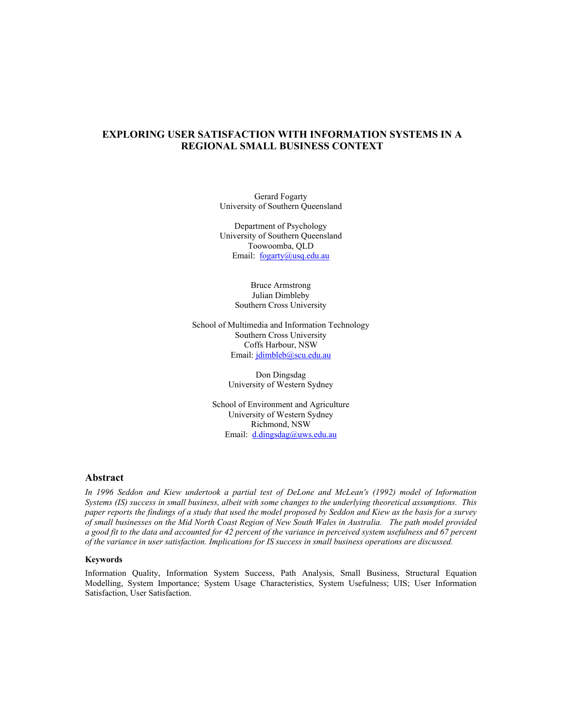## **EXPLORING USER SATISFACTION WITH INFORMATION SYSTEMS IN A REGIONAL SMALL BUSINESS CONTEXT**

Gerard Fogarty University of Southern Queensland

Department of Psychology University of Southern Queensland Toowoomba, QLD Email: fogarty@usq.edu.au

> Bruce Armstrong Julian Dimbleby Southern Cross University

School of Multimedia and Information Technology Southern Cross University Coffs Harbour, NSW Email: jdimbleb@scu.edu.au

> Don Dingsdag University of Western Sydney

School of Environment and Agriculture University of Western Sydney Richmond, NSW Email: d.dingsdag@uws.edu.au

## **Abstract**

*In 1996 Seddon and Kiew undertook a partial test of DeLone and McLean's (1992) model of Information Systems (IS) success in small business, albeit with some changes to the underlying theoretical assumptions. This paper reports the findings of a study that used the model proposed by Seddon and Kiew as the basis for a survey of small businesses on the Mid North Coast Region of New South Wales in Australia. The path model provided a good fit to the data and accounted for 42 percent of the variance in perceived system usefulness and 67 percent of the variance in user satisfaction. Implications for IS success in small business operations are discussed.* 

#### **Keywords**

Information Quality, Information System Success, Path Analysis, Small Business, Structural Equation Modelling, System Importance; System Usage Characteristics, System Usefulness; UIS; User Information Satisfaction, User Satisfaction.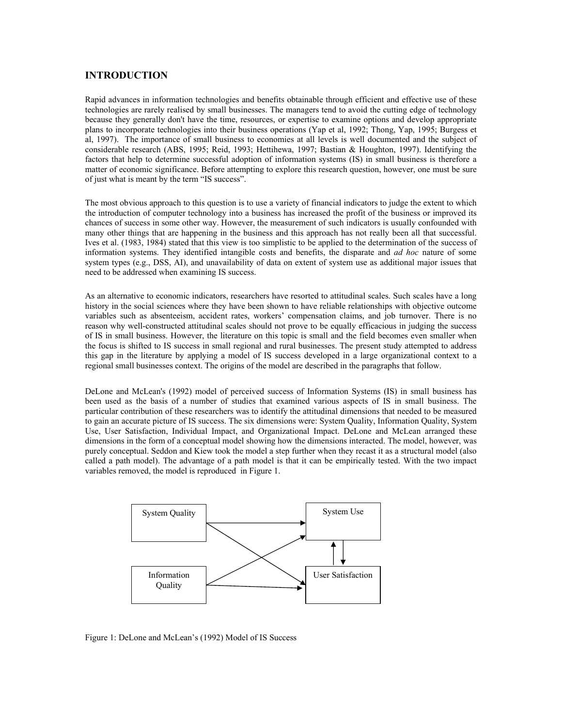## **INTRODUCTION**

Rapid advances in information technologies and benefits obtainable through efficient and effective use of these technologies are rarely realised by small businesses. The managers tend to avoid the cutting edge of technology because they generally don't have the time, resources, or expertise to examine options and develop appropriate plans to incorporate technologies into their business operations (Yap et al, 1992; Thong, Yap, 1995; Burgess et al, 1997). The importance of small business to economies at all levels is well documented and the subject of considerable research (ABS, 1995; Reid, 1993; Hettihewa, 1997; Bastian & Houghton, 1997). Identifying the factors that help to determine successful adoption of information systems (IS) in small business is therefore a matter of economic significance. Before attempting to explore this research question, however, one must be sure of just what is meant by the term "IS success".

The most obvious approach to this question is to use a variety of financial indicators to judge the extent to which the introduction of computer technology into a business has increased the profit of the business or improved its chances of success in some other way. However, the measurement of such indicators is usually confounded with many other things that are happening in the business and this approach has not really been all that successful. Ives et al. (1983, 1984) stated that this view is too simplistic to be applied to the determination of the success of information systems. They identified intangible costs and benefits, the disparate and *ad hoc* nature of some system types (e.g., DSS, AI), and unavailability of data on extent of system use as additional major issues that need to be addressed when examining IS success.

As an alternative to economic indicators, researchers have resorted to attitudinal scales. Such scales have a long history in the social sciences where they have been shown to have reliable relationships with objective outcome variables such as absenteeism, accident rates, workers' compensation claims, and job turnover. There is no reason why well-constructed attitudinal scales should not prove to be equally efficacious in judging the success of IS in small business. However, the literature on this topic is small and the field becomes even smaller when the focus is shifted to IS success in small regional and rural businesses. The present study attempted to address this gap in the literature by applying a model of IS success developed in a large organizational context to a regional small businesses context. The origins of the model are described in the paragraphs that follow.

DeLone and McLean's (1992) model of perceived success of Information Systems (IS) in small business has been used as the basis of a number of studies that examined various aspects of IS in small business. The particular contribution of these researchers was to identify the attitudinal dimensions that needed to be measured to gain an accurate picture of IS success. The six dimensions were: System Quality, Information Quality, System Use, User Satisfaction, Individual Impact, and Organizational Impact. DeLone and McLean arranged these dimensions in the form of a conceptual model showing how the dimensions interacted. The model, however, was purely conceptual. Seddon and Kiew took the model a step further when they recast it as a structural model (also called a path model). The advantage of a path model is that it can be empirically tested. With the two impact variables removed, the model is reproduced in Figure 1.



Figure 1: DeLone and McLean's (1992) Model of IS Success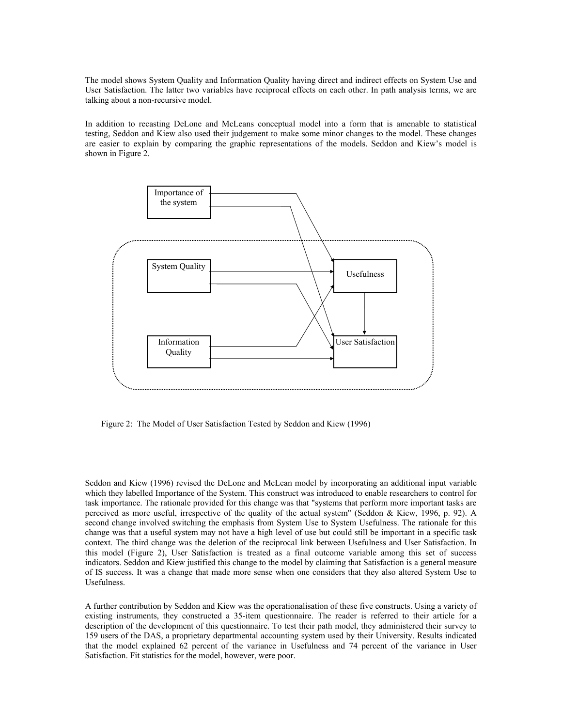The model shows System Quality and Information Quality having direct and indirect effects on System Use and User Satisfaction. The latter two variables have reciprocal effects on each other. In path analysis terms, we are talking about a non-recursive model.

In addition to recasting DeLone and McLeans conceptual model into a form that is amenable to statistical testing, Seddon and Kiew also used their judgement to make some minor changes to the model. These changes are easier to explain by comparing the graphic representations of the models. Seddon and Kiew's model is shown in Figure 2.



Figure 2: The Model of User Satisfaction Tested by Seddon and Kiew (1996)

Seddon and Kiew (1996) revised the DeLone and McLean model by incorporating an additional input variable which they labelled Importance of the System. This construct was introduced to enable researchers to control for task importance. The rationale provided for this change was that "systems that perform more important tasks are perceived as more useful, irrespective of the quality of the actual system" (Seddon & Kiew, 1996, p. 92). A second change involved switching the emphasis from System Use to System Usefulness. The rationale for this change was that a useful system may not have a high level of use but could still be important in a specific task context. The third change was the deletion of the reciprocal link between Usefulness and User Satisfaction. In this model (Figure 2), User Satisfaction is treated as a final outcome variable among this set of success indicators. Seddon and Kiew justified this change to the model by claiming that Satisfaction is a general measure of IS success. It was a change that made more sense when one considers that they also altered System Use to Usefulness.

A further contribution by Seddon and Kiew was the operationalisation of these five constructs. Using a variety of existing instruments, they constructed a 35-item questionnaire. The reader is referred to their article for a description of the development of this questionnaire. To test their path model, they administered their survey to 159 users of the DAS, a proprietary departmental accounting system used by their University. Results indicated that the model explained 62 percent of the variance in Usefulness and 74 percent of the variance in User Satisfaction. Fit statistics for the model, however, were poor.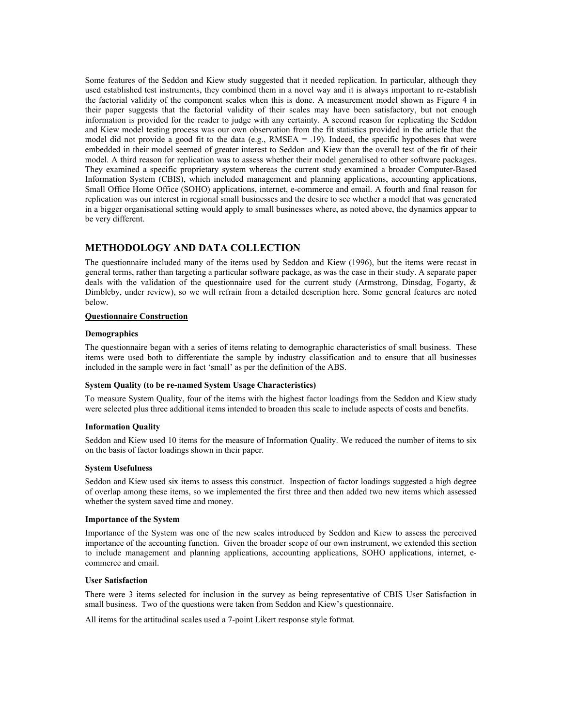Some features of the Seddon and Kiew study suggested that it needed replication. In particular, although they used established test instruments, they combined them in a novel way and it is always important to re-establish the factorial validity of the component scales when this is done. A measurement model shown as Figure 4 in their paper suggests that the factorial validity of their scales may have been satisfactory, but not enough information is provided for the reader to judge with any certainty. A second reason for replicating the Seddon and Kiew model testing process was our own observation from the fit statistics provided in the article that the model did not provide a good fit to the data (e.g.,  $RMSEA = .19$ ). Indeed, the specific hypotheses that were embedded in their model seemed of greater interest to Seddon and Kiew than the overall test of the fit of their model. A third reason for replication was to assess whether their model generalised to other software packages. They examined a specific proprietary system whereas the current study examined a broader Computer-Based Information System (CBIS), which included management and planning applications, accounting applications, Small Office Home Office (SOHO) applications, internet, e-commerce and email. A fourth and final reason for replication was our interest in regional small businesses and the desire to see whether a model that was generated in a bigger organisational setting would apply to small businesses where, as noted above, the dynamics appear to be very different.

## **METHODOLOGY AND DATA COLLECTION**

The questionnaire included many of the items used by Seddon and Kiew (1996), but the items were recast in general terms, rather than targeting a particular software package, as was the case in their study. A separate paper deals with the validation of the questionnaire used for the current study (Armstrong, Dinsdag, Fogarty, & Dimbleby, under review), so we will refrain from a detailed description here. Some general features are noted below.

#### **Questionnaire Construction**

#### **Demographics**

The questionnaire began with a series of items relating to demographic characteristics of small business. These items were used both to differentiate the sample by industry classification and to ensure that all businesses included in the sample were in fact 'small' as per the definition of the ABS.

#### **System Quality (to be re-named System Usage Characteristics)**

To measure System Quality, four of the items with the highest factor loadings from the Seddon and Kiew study were selected plus three additional items intended to broaden this scale to include aspects of costs and benefits.

#### **Information Quality**

Seddon and Kiew used 10 items for the measure of Information Quality. We reduced the number of items to six on the basis of factor loadings shown in their paper.

#### **System Usefulness**

Seddon and Kiew used six items to assess this construct. Inspection of factor loadings suggested a high degree of overlap among these items, so we implemented the first three and then added two new items which assessed whether the system saved time and money.

#### **Importance of the System**

Importance of the System was one of the new scales introduced by Seddon and Kiew to assess the perceived importance of the accounting function. Given the broader scope of our own instrument, we extended this section to include management and planning applications, accounting applications, SOHO applications, internet, ecommerce and email.

#### **User Satisfaction**

There were 3 items selected for inclusion in the survey as being representative of CBIS User Satisfaction in small business. Two of the questions were taken from Seddon and Kiew's questionnaire.

All items for the attitudinal scales used a 7-point Likert response style format.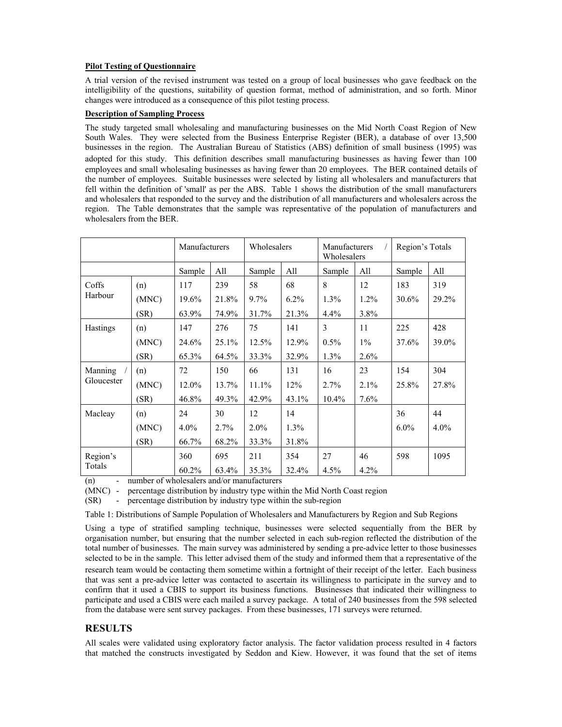## **Pilot Testing of Questionnaire**

A trial version of the revised instrument was tested on a group of local businesses who gave feedback on the intelligibility of the questions, suitability of question format, method of administration, and so forth. Minor changes were introduced as a consequence of this pilot testing process.

## **Description of Sampling Process**

The study targeted small wholesaling and manufacturing businesses on the Mid North Coast Region of New South Wales. They were selected from the Business Enterprise Register (BER), a database of over 13,500 businesses in the region. The Australian Bureau of Statistics (ABS) definition of small business (1995) was adopted for this study. This definition describes small manufacturing businesses as having fewer than 100 employees and small wholesaling businesses as having fewer than 20 employees. The BER contained details of the number of employees. Suitable businesses were selected by listing all wholesalers and manufacturers that fell within the definition of 'small' as per the ABS. Table 1 shows the distribution of the small manufacturers and wholesalers that responded to the survey and the distribution of all manufacturers and wholesalers across the region. The Table demonstrates that the sample was representative of the population of manufacturers and wholesalers from the BER.

|                       |       | Manufacturers |       | Wholesalers |         | Manufacturers<br>Wholesalers |         | Region's Totals |         |
|-----------------------|-------|---------------|-------|-------------|---------|------------------------------|---------|-----------------|---------|
|                       |       | Sample        | All   | Sample      | All     | Sample                       | All     | Sample          | All     |
| Coffs<br>Harbour      | (n)   | 117           | 239   | 58          | 68      | 8                            | 12      | 183             | 319     |
|                       | (MNC) | 19.6%         | 21.8% | 9.7%        | $6.2\%$ | $1.3\%$                      | $1.2\%$ | 30.6%           | 29.2%   |
|                       | (SR)  | 63.9%         | 74.9% | 31.7%       | 21.3%   | $4.4\%$                      | 3.8%    |                 |         |
| Hastings              | (n)   | 147           | 276   | 75          | 141     | 3                            | 11      | 225             | 428     |
|                       | (MNC) | 24.6%         | 25.1% | 12.5%       | 12.9%   | $0.5\%$                      | $1\%$   | 37.6%           | 39.0%   |
|                       | (SR)  | 65.3%         | 64.5% | 33.3%       | 32.9%   | 1.3%                         | 2.6%    |                 |         |
| Manning<br>Gloucester | (n)   | 72            | 150   | 66          | 131     | 16                           | 23      | 154             | 304     |
|                       | (MNC) | 12.0%         | 13.7% | $11.1\%$    | 12%     | $2.7\%$                      | 2.1%    | 25.8%           | 27.8%   |
|                       | (SR)  | 46.8%         | 49.3% | 42.9%       | 43.1%   | 10.4%                        | 7.6%    |                 |         |
| Macleay               | (n)   | 24            | 30    | 12          | 14      |                              |         | 36              | 44      |
|                       | (MNC) | $4.0\%$       | 2.7%  | $2.0\%$     | $1.3\%$ |                              |         | $6.0\%$         | $4.0\%$ |
|                       | (SR)  | 66.7%         | 68.2% | 33.3%       | 31.8%   |                              |         |                 |         |
| Region's<br>Totals    |       | 360           | 695   | 211         | 354     | 27                           | 46      | 598             | 1095    |
|                       |       | 60.2%         | 63.4% | 35.3%       | 32.4%   | 4.5%                         | 4.2%    |                 |         |

(n) - number of wholesalers and/or manufacturers

(MNC) - percentage distribution by industry type within the Mid North Coast region

(SR) - percentage distribution by industry type within the sub-region

Table 1: Distributions of Sample Population of Wholesalers and Manufacturers by Region and Sub Regions

Using a type of stratified sampling technique, businesses were selected sequentially from the BER by organisation number, but ensuring that the number selected in each sub-region reflected the distribution of the total number of businesses. The main survey was administered by sending a pre-advice letter to those businesses selected to be in the sample. This letter advised them of the study and informed them that a representative of the research team would be contacting them sometime within a fortnight of their receipt of the letter. Each business that was sent a pre-advice letter was contacted to ascertain its willingness to participate in the survey and to confirm that it used a CBIS to support its business functions. Businesses that indicated their willingness to participate and used a CBIS were each mailed a survey package. A total of 240 businesses from the 598 selected from the database were sent survey packages. From these businesses, 171 surveys were returned.

# **RESULTS**

All scales were validated using exploratory factor analysis. The factor validation process resulted in 4 factors that matched the constructs investigated by Seddon and Kiew. However, it was found that the set of items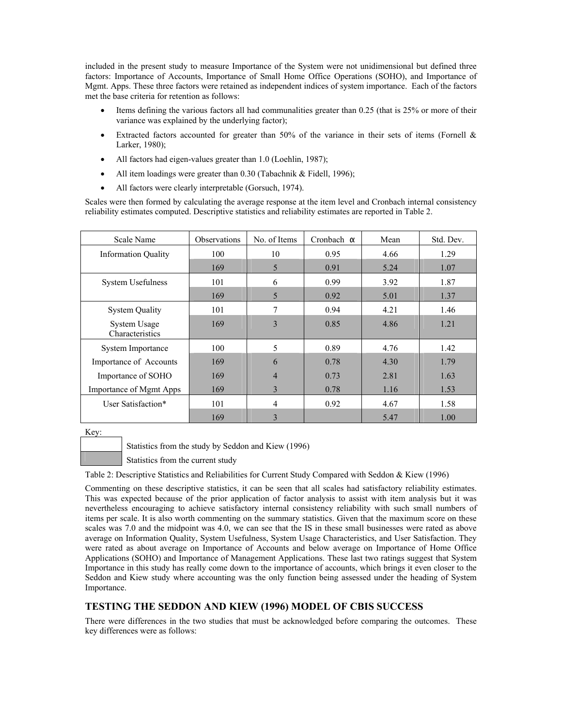included in the present study to measure Importance of the System were not unidimensional but defined three factors: Importance of Accounts, Importance of Small Home Office Operations (SOHO), and Importance of Mgmt. Apps. These three factors were retained as independent indices of system importance. Each of the factors met the base criteria for retention as follows:

- Items defining the various factors all had communalities greater than 0.25 (that is 25% or more of their variance was explained by the underlying factor);
- Extracted factors accounted for greater than 50% of the variance in their sets of items (Fornell & Larker, 1980);
- All factors had eigen-values greater than 1.0 (Loehlin, 1987);
- All item loadings were greater than 0.30 (Tabachnik & Fidell, 1996);
- All factors were clearly interpretable (Gorsuch, 1974).

Scales were then formed by calculating the average response at the item level and Cronbach internal consistency reliability estimates computed. Descriptive statistics and reliability estimates are reported in Table 2.

| Scale Name                      | <b>Observations</b> | No. of Items | Cronbach $\alpha$ | Mean | Std. Dev. |
|---------------------------------|---------------------|--------------|-------------------|------|-----------|
| <b>Information Quality</b>      | 100                 | 10           | 0.95              | 4.66 | 1.29      |
|                                 | 169                 | 5            | 0.91              | 5.24 | 1.07      |
| <b>System Usefulness</b>        | 101                 | 6            | 0.99              | 3.92 | 1.87      |
|                                 | 169                 | 5            | 0.92              | 5.01 | 1.37      |
| <b>System Quality</b>           | 101                 | 7            | 0.94              | 4.21 | 1.46      |
| System Usage<br>Characteristics | 169                 | 3            | 0.85              | 4.86 | 1.21      |
| System Importance               | 100                 | 5            | 0.89              | 4.76 | 1.42      |
| Importance of Accounts          | 169                 | 6            | 0.78              | 4.30 | 1.79      |
| Importance of SOHO              | 169                 | 4            | 0.73              | 2.81 | 1.63      |
| <b>Importance of Mgmt Apps</b>  | 169                 | 3            | 0.78              | 1.16 | 1.53      |
| User Satisfaction*              | 101                 | 4            | 0.92              | 4.67 | 1.58      |
|                                 | 169                 | 3            |                   | 5.47 | 1.00      |

Key:

Statistics from the study by Seddon and Kiew (1996)

Statistics from the current study

Table 2: Descriptive Statistics and Reliabilities for Current Study Compared with Seddon & Kiew (1996)

Commenting on these descriptive statistics, it can be seen that all scales had satisfactory reliability estimates. This was expected because of the prior application of factor analysis to assist with item analysis but it was nevertheless encouraging to achieve satisfactory internal consistency reliability with such small numbers of items per scale. It is also worth commenting on the summary statistics. Given that the maximum score on these scales was 7.0 and the midpoint was 4.0, we can see that the IS in these small businesses were rated as above average on Information Quality, System Usefulness, System Usage Characteristics, and User Satisfaction. They were rated as about average on Importance of Accounts and below average on Importance of Home Office Applications (SOHO) and Importance of Management Applications. These last two ratings suggest that System Importance in this study has really come down to the importance of accounts, which brings it even closer to the Seddon and Kiew study where accounting was the only function being assessed under the heading of System Importance.

## **TESTING THE SEDDON AND KIEW (1996) MODEL OF CBIS SUCCESS**

There were differences in the two studies that must be acknowledged before comparing the outcomes. These key differences were as follows: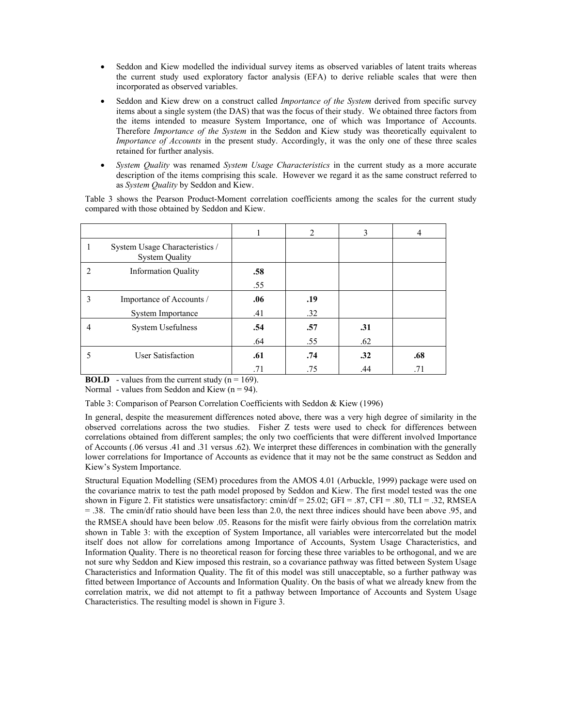- Seddon and Kiew modelled the individual survey items as observed variables of latent traits whereas the current study used exploratory factor analysis (EFA) to derive reliable scales that were then incorporated as observed variables.
- Seddon and Kiew drew on a construct called *Importance of the System* derived from specific survey items about a single system (the DAS) that was the focus of their study. We obtained three factors from the items intended to measure System Importance, one of which was Importance of Accounts. Therefore *Importance of the System* in the Seddon and Kiew study was theoretically equivalent to *Importance of Accounts* in the present study. Accordingly, it was the only one of these three scales retained for further analysis.
- *System Quality* was renamed *System Usage Characteristics* in the current study as a more accurate description of the items comprising this scale. However we regard it as the same construct referred to as *System Quality* by Seddon and Kiew.

Table 3 shows the Pearson Product-Moment correlation coefficients among the scales for the current study compared with those obtained by Seddon and Kiew.

|   |                                                         | 1   | 2   | 3   | 4   |
|---|---------------------------------------------------------|-----|-----|-----|-----|
|   | System Usage Characteristics /<br><b>System Quality</b> |     |     |     |     |
|   | <b>Information Quality</b>                              | .58 |     |     |     |
|   |                                                         | .55 |     |     |     |
| 3 | Importance of Accounts /                                | .06 | .19 |     |     |
|   | System Importance                                       | .41 | .32 |     |     |
|   | System Usefulness                                       | .54 | .57 | .31 |     |
|   |                                                         | .64 | .55 | .62 |     |
|   | User Satisfaction                                       | .61 | .74 | .32 | .68 |
|   |                                                         | .71 | .75 | .44 | .71 |

**BOLD** - values from the current study  $(n = 169)$ .

Normal - values from Seddon and Kiew  $(n = 94)$ .

### Table 3: Comparison of Pearson Correlation Coefficients with Seddon & Kiew (1996)

In general, despite the measurement differences noted above, there was a very high degree of similarity in the observed correlations across the two studies. Fisher Z tests were used to check for differences between correlations obtained from different samples; the only two coefficients that were different involved Importance of Accounts (.06 versus .41 and .31 versus .62). We interpret these differences in combination with the generally lower correlations for Importance of Accounts as evidence that it may not be the same construct as Seddon and Kiew's System Importance.

Structural Equation Modelling (SEM) procedures from the AMOS 4.01 (Arbuckle, 1999) package were used on the covariance matrix to test the path model proposed by Seddon and Kiew. The first model tested was the one shown in Figure 2. Fit statistics were unsatisfactory: cmin/df = 25.02; GFI = .87, CFI = .80, TLI = .32, RMSEA = .38. The cmin/df ratio should have been less than 2.0, the next three indices should have been above .95, and the RMSEA should have been below .05. Reasons for the misfit were fairly obvious from the correlation matrix shown in Table 3: with the exception of System Importance, all variables were intercorrelated but the model itself does not allow for correlations among Importance of Accounts, System Usage Characteristics, and Information Quality. There is no theoretical reason for forcing these three variables to be orthogonal, and we are not sure why Seddon and Kiew imposed this restrain, so a covariance pathway was fitted between System Usage Characteristics and Information Quality. The fit of this model was still unacceptable, so a further pathway was fitted between Importance of Accounts and Information Quality. On the basis of what we already knew from the correlation matrix, we did not attempt to fit a pathway between Importance of Accounts and System Usage Characteristics. The resulting model is shown in Figure 3.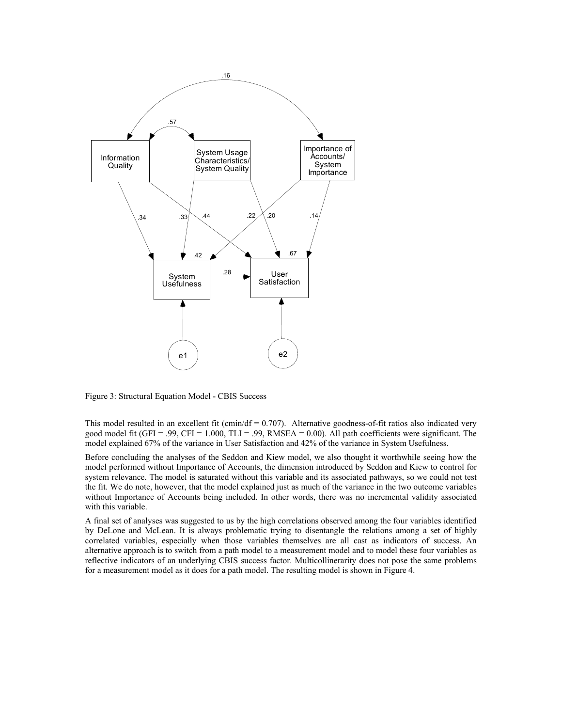

Figure 3: Structural Equation Model - CBIS Success

This model resulted in an excellent fit (cmin/df  $= 0.707$ ). Alternative goodness-of-fit ratios also indicated very good model fit (GFI = .99, CFI = 1.000, TLI = .99, RMSEA = 0.00). All path coefficients were significant. The model explained 67% of the variance in User Satisfaction and 42% of the variance in System Usefulness.

Before concluding the analyses of the Seddon and Kiew model, we also thought it worthwhile seeing how the model performed without Importance of Accounts, the dimension introduced by Seddon and Kiew to control for system relevance. The model is saturated without this variable and its associated pathways, so we could not test the fit. We do note, however, that the model explained just as much of the variance in the two outcome variables without Importance of Accounts being included. In other words, there was no incremental validity associated with this variable.

A final set of analyses was suggested to us by the high correlations observed among the four variables identified by DeLone and McLean. It is always problematic trying to disentangle the relations among a set of highly correlated variables, especially when those variables themselves are all cast as indicators of success. An alternative approach is to switch from a path model to a measurement model and to model these four variables as reflective indicators of an underlying CBIS success factor. Multicollinerarity does not pose the same problems for a measurement model as it does for a path model. The resulting model is shown in Figure 4.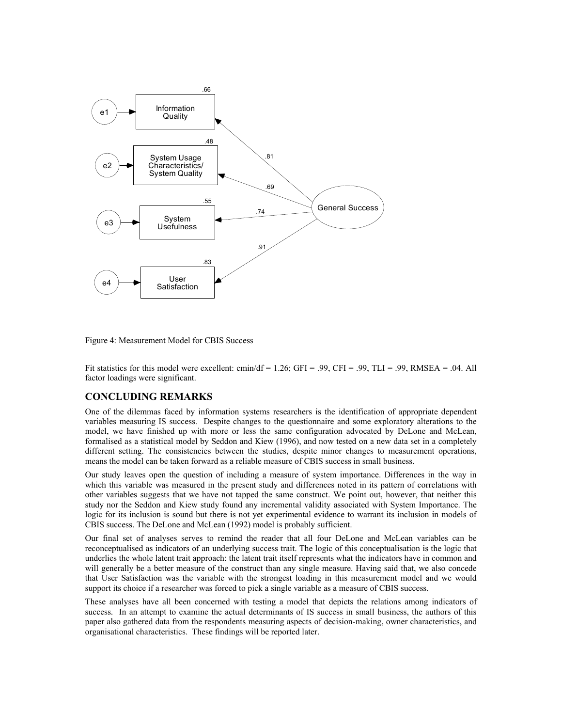

Figure 4: Measurement Model for CBIS Success

Fit statistics for this model were excellent: cmin/df =  $1.26$ ; GFI = .99, CFI = .99, TLI = .99, RMSEA = .04. All factor loadings were significant.

## **CONCLUDING REMARKS**

One of the dilemmas faced by information systems researchers is the identification of appropriate dependent variables measuring IS success. Despite changes to the questionnaire and some exploratory alterations to the model, we have finished up with more or less the same configuration advocated by DeLone and McLean, formalised as a statistical model by Seddon and Kiew (1996), and now tested on a new data set in a completely different setting. The consistencies between the studies, despite minor changes to measurement operations, means the model can be taken forward as a reliable measure of CBIS success in small business.

Our study leaves open the question of including a measure of system importance. Differences in the way in which this variable was measured in the present study and differences noted in its pattern of correlations with other variables suggests that we have not tapped the same construct. We point out, however, that neither this study nor the Seddon and Kiew study found any incremental validity associated with System Importance. The logic for its inclusion is sound but there is not yet experimental evidence to warrant its inclusion in models of CBIS success. The DeLone and McLean (1992) model is probably sufficient.

Our final set of analyses serves to remind the reader that all four DeLone and McLean variables can be reconceptualised as indicators of an underlying success trait. The logic of this conceptualisation is the logic that underlies the whole latent trait approach: the latent trait itself represents what the indicators have in common and will generally be a better measure of the construct than any single measure. Having said that, we also concede that User Satisfaction was the variable with the strongest loading in this measurement model and we would support its choice if a researcher was forced to pick a single variable as a measure of CBIS success.

These analyses have all been concerned with testing a model that depicts the relations among indicators of success. In an attempt to examine the actual determinants of IS success in small business, the authors of this paper also gathered data from the respondents measuring aspects of decision-making, owner characteristics, and organisational characteristics. These findings will be reported later.